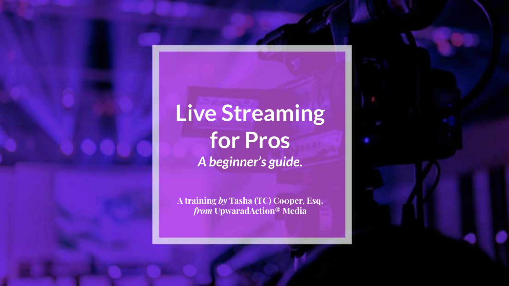**Live Streaming for Pros**  *A beginner's guide.* 

**A training** *by* **Tasha (TC) Co0per, Esq.**  *from* **UpwaradAction® Media**

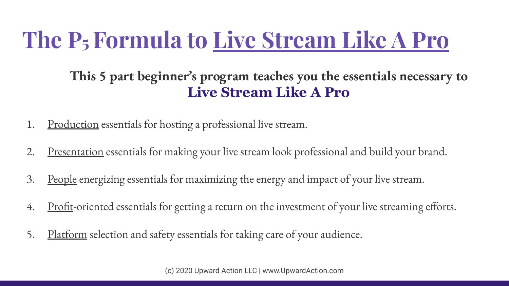#### **The P5 Formula to Live Stream Like A Pro**

**This 5 part beginner's program teaches you the essentials necessary to Live Stream Like A Pro** 

- 1. Production essentials for hosting a professional live stream.
- 2. Presentation essentials for making your live stream look professional and build your brand.
- 3. People energizing essentials for maximizing the energy and impact of your live stream.
- 4. Profit-oriented essentials for getting a return on the investment of your live streaming efforts.
- 5. Platform selection and safety essentials for taking care of your audience.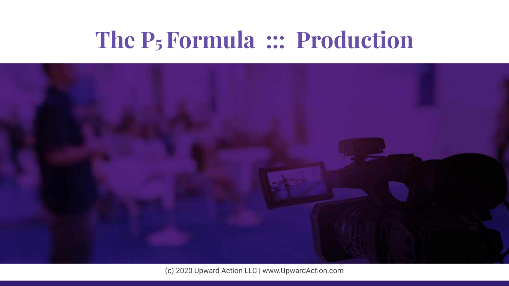#### **The P5 Formula ::: Production**

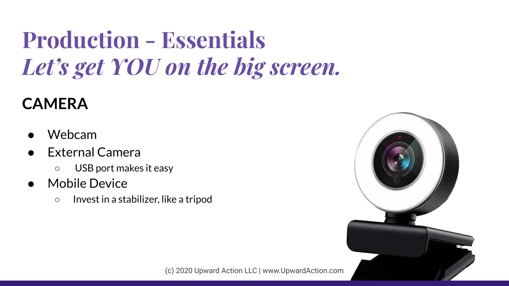# **Production - Essentials** *Let's get YOU on the big screen.*

#### **CAMERA**

- Webcam
- **External Camera** 
	- USB port makes it easy
- Mobile Device
	- Invest in a stabilizer, like a tripod

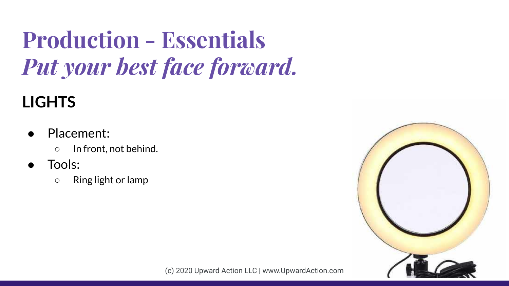# **Production - Essentials** *Put your best face forward.*

#### **LIGHTS**

- Placement:
	- In front, not behind.
- Tools:
	- Ring light or lamp

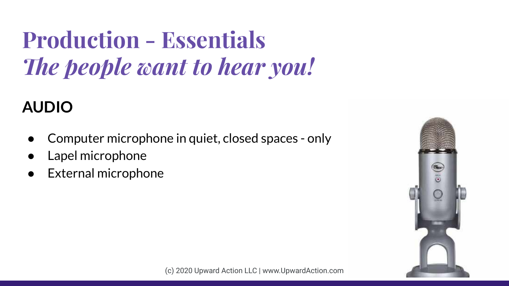# **Production - Essentials** *The people want to hear you!*

#### **AUDIO**

- Computer microphone in quiet, closed spaces only
- Lapel microphone
- **External microphone**

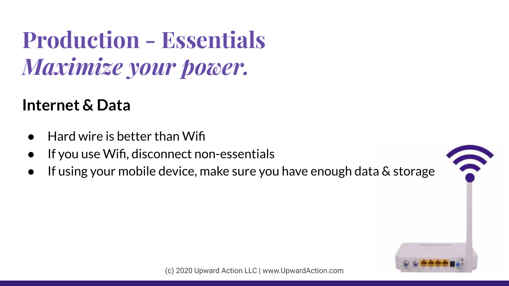#### **Production - Essentials** *Maximize your power.*

#### **Internet & Data**

- Hard wire is better than Wifi
- If you use Wifi, disconnect non-essentials
- If using your mobile device, make sure you have enough data & storage

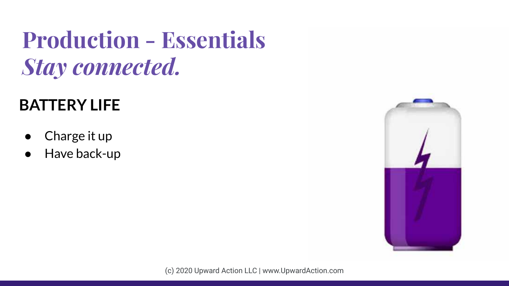#### **Production - Essentials** *Stay connected.*

#### **BATTERY LIFE**

- Charge it up
- Have back-up

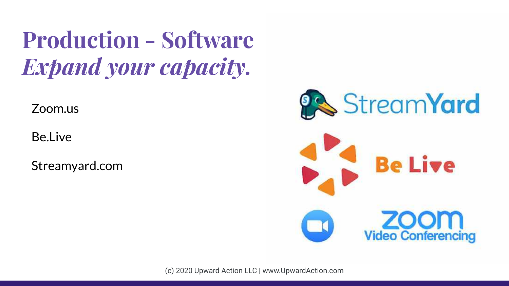#### **Production - Software**  *Expand your capacity.*

Zoom.us

Be.Live

Streamyard.com

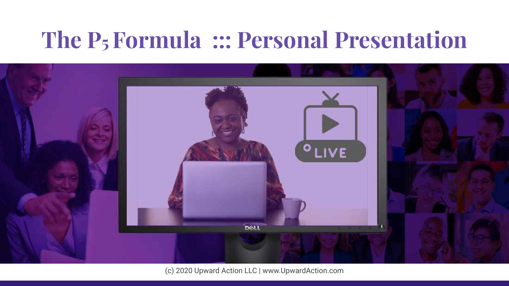#### **The P5 Formula ::: Personal Presentation**

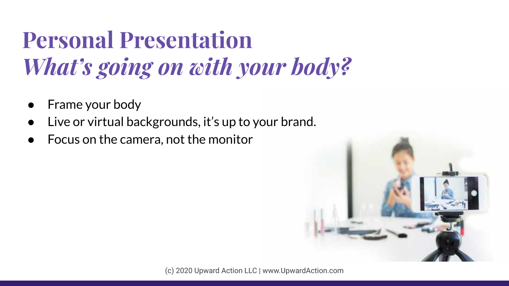# **Personal Presentation** *What's going on with your body?*

- Frame your body
- Live or virtual backgrounds, it's up to your brand.
- Focus on the camera, not the monitor

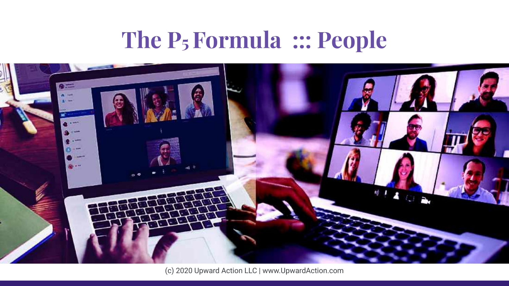#### **The P5 Formula ::: People**

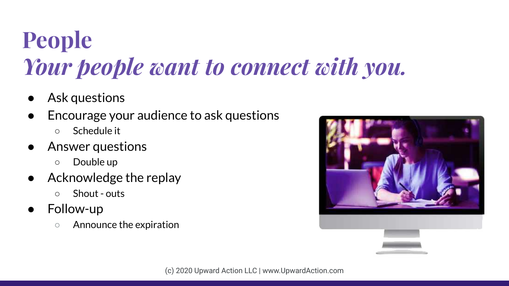# **People** *Your people want to connect with you.*

- Ask questions
- Encourage your audience to ask questions
	- Schedule it
- Answer questions
	- Double up
- Acknowledge the replay
	- Shout outs
- Follow-up
	- Announce the expiration

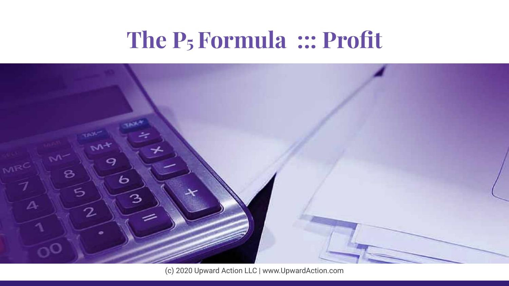#### **The P5 Formula ::: Profit**

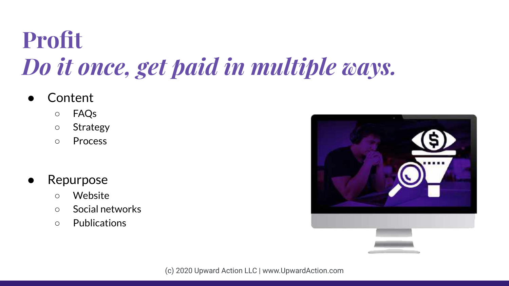# **Profit**  *Do it once, get paid in multiple ways.*

- **Content** 
	- FAQs
	- Strategy
	- Process
- **Repurpose** 
	- Website
	- Social networks
	- Publications

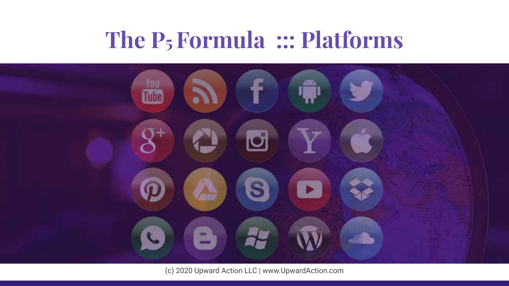#### **The P5 Formula ::: Platforms**

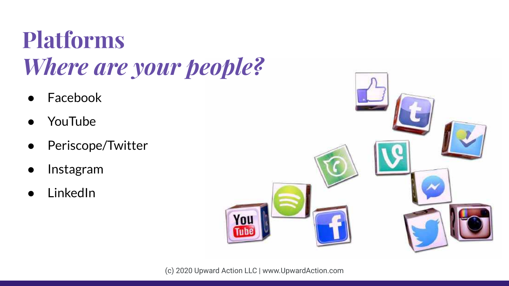# **Platforms**  *Where are your people?*

- **Facebook**
- **YouTube**
- Periscope/Twitter
- **Instagram**
- **LinkedIn**

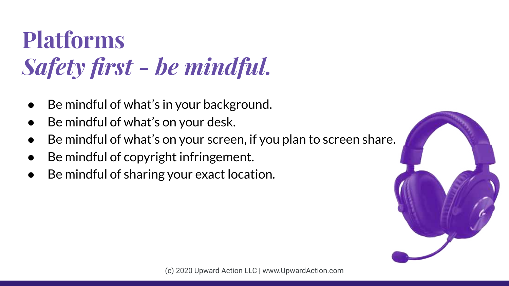# **Platforms**  *Safety first - be mindful.*

- Be mindful of what's in your background.
- Be mindful of what's on your desk.
- Be mindful of what's on your screen, if you plan to screen share.
- Be mindful of copyright infringement.
- Be mindful of sharing your exact location.

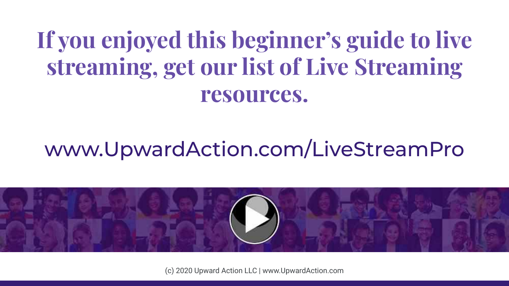#### **If you enjoyed this beginner's guide to live streaming, get our list of Live Streaming resources.**

#### www.UpwardAction.com/LiveStreamPro

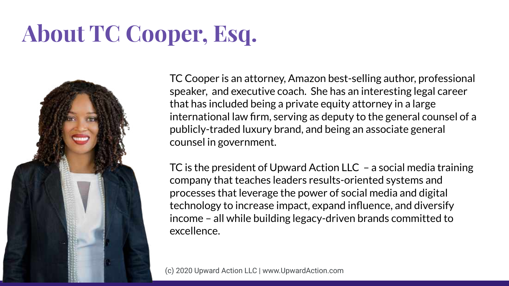# **About TC Cooper, Esq.**



TC Cooper is an attorney, Amazon best-selling author, professional speaker, and executive coach. She has an interesting legal career that has included being a private equity attorney in a large international law firm, serving as deputy to the general counsel of a publicly-traded luxury brand, and being an associate general counsel in government.

TC is the president of Upward Action LLC – a social media training company that teaches leaders results-oriented systems and processes that leverage the power of social media and digital technology to increase impact, expand influence, and diversify income – all while building legacy-driven brands committed to excellence.